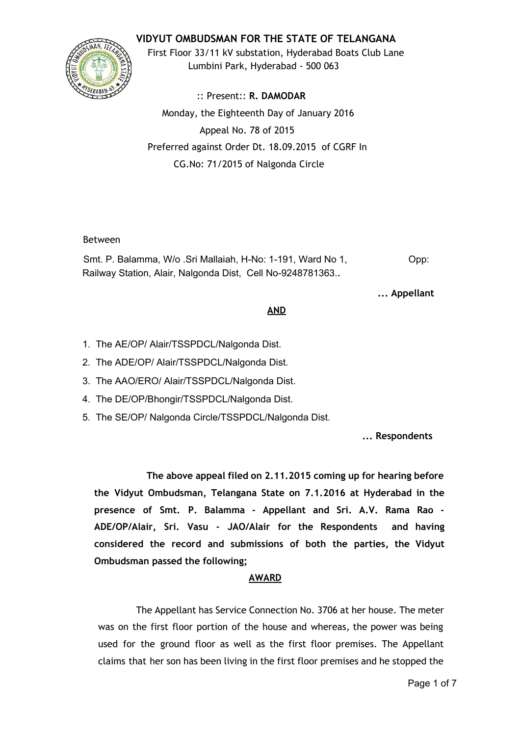# **VIDYUT OMBUDSMAN FOR THE STATE OF TELANGANA**



First Floor 33/11 kV substation, Hyderabad Boats Club Lane Lumbini Park, Hyderabad - 500 063

:: Present:: **R. DAMODAR** Monday, the Eighteenth Day of January 2016 Appeal No. 78 of 2015 Preferred against Order Dt. 18.09.2015 of CGRF In CG.No: 71/2015 of Nalgonda Circle

## Between

Smt. P. Balamma, W/o .Sri Mallaiah, H-No: 1-191, Ward No 1, Opp: Railway Station, Alair, Nalgonda Dist, Cell No-9248781363..

**... Appellant**

#### **AND**

- 1. The AE/OP/ Alair/TSSPDCL/Nalgonda Dist.
- 2. The ADE/OP/ Alair/TSSPDCL/Nalgonda Dist.
- 3. The AAO/ERO/ Alair/TSSPDCL/Nalgonda Dist.
- 4. The DE/OP/Bhongir/TSSPDCL/Nalgonda Dist.
- 5. The SE/OP/ Nalgonda Circle/TSSPDCL/Nalgonda Dist.

**... Respondents**

**The above appeal filed on 2.11.2015 coming up for hearing before the Vidyut Ombudsman, Telangana State on 7.1.2016 at Hyderabad in the presence of Smt. P. Balamma - Appellant and Sri. A.V. Rama Rao - ADE/OP/Alair, Sri. Vasu - JAO/Alair for the Respondents and having considered the record and submissions of both the parties, the Vidyut Ombudsman passed the following;**

## **AWARD**

The Appellant has Service Connection No. 3706 at her house. The meter was on the first floor portion of the house and whereas, the power was being used for the ground floor as well as the first floor premises. The Appellant claims that her son has been living in the first floor premises and he stopped the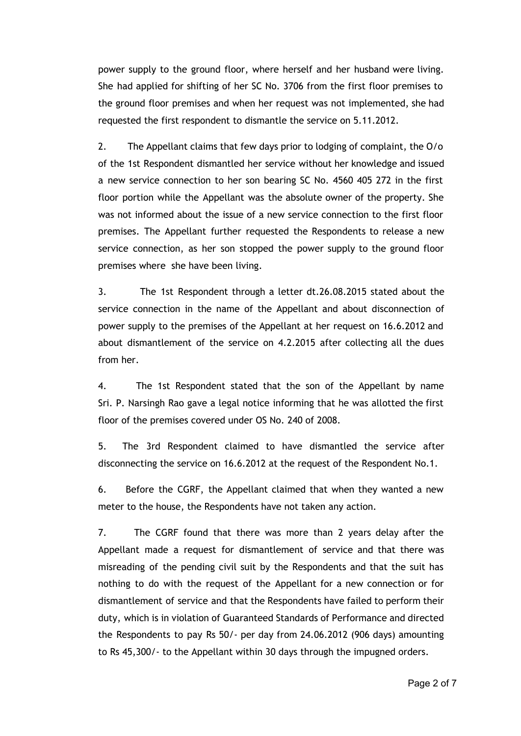power supply to the ground floor, where herself and her husband were living. She had applied for shifting of her SC No. 3706 from the first floor premises to the ground floor premises and when her request was not implemented, she had requested the first respondent to dismantle the service on 5.11.2012.

2. The Appellant claims that few days prior to lodging of complaint, the O/o of the 1st Respondent dismantled her service without her knowledge and issued a new service connection to her son bearing SC No. 4560 405 272 in the first floor portion while the Appellant was the absolute owner of the property. She was not informed about the issue of a new service connection to the first floor premises. The Appellant further requested the Respondents to release a new service connection, as her son stopped the power supply to the ground floor premises where she have been living.

3. The 1st Respondent through a letter dt.26.08.2015 stated about the service connection in the name of the Appellant and about disconnection of power supply to the premises of the Appellant at her request on 16.6.2012 and about dismantlement of the service on 4.2.2015 after collecting all the dues from her.

4. The 1st Respondent stated that the son of the Appellant by name Sri. P. Narsingh Rao gave a legal notice informing that he was allotted the first floor of the premises covered under OS No. 240 of 2008.

5. The 3rd Respondent claimed to have dismantled the service after disconnecting the service on 16.6.2012 at the request of the Respondent No.1.

6. Before the CGRF, the Appellant claimed that when they wanted a new meter to the house, the Respondents have not taken any action.

7. The CGRF found that there was more than 2 years delay after the Appellant made a request for dismantlement of service and that there was misreading of the pending civil suit by the Respondents and that the suit has nothing to do with the request of the Appellant for a new connection or for dismantlement of service and that the Respondents have failed to perform their duty, which is in violation of Guaranteed Standards of Performance and directed the Respondents to pay Rs 50/- per day from 24.06.2012 (906 days) amounting to Rs 45,300/- to the Appellant within 30 days through the impugned orders.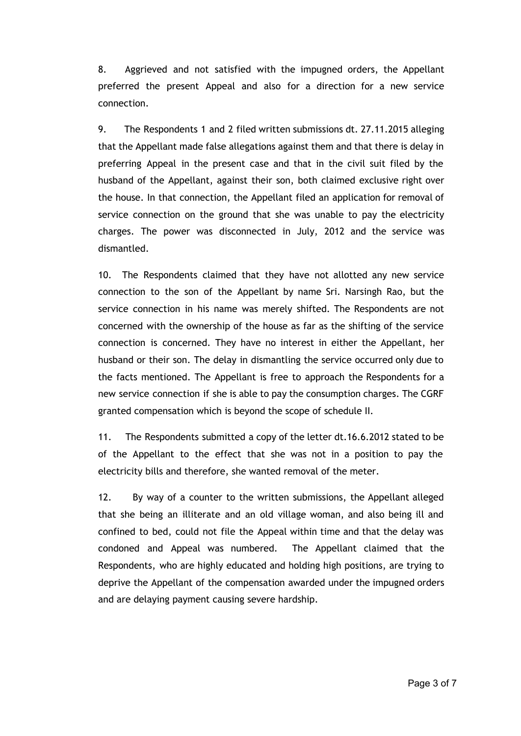8. Aggrieved and not satisfied with the impugned orders, the Appellant preferred the present Appeal and also for a direction for a new service connection.

9. The Respondents 1 and 2 filed written submissions dt. 27.11.2015 alleging that the Appellant made false allegations against them and that there is delay in preferring Appeal in the present case and that in the civil suit filed by the husband of the Appellant, against their son, both claimed exclusive right over the house. In that connection, the Appellant filed an application for removal of service connection on the ground that she was unable to pay the electricity charges. The power was disconnected in July, 2012 and the service was dismantled.

10. The Respondents claimed that they have not allotted any new service connection to the son of the Appellant by name Sri. Narsingh Rao, but the service connection in his name was merely shifted. The Respondents are not concerned with the ownership of the house as far as the shifting of the service connection is concerned. They have no interest in either the Appellant, her husband or their son. The delay in dismantling the service occurred only due to the facts mentioned. The Appellant is free to approach the Respondents for a new service connection if she is able to pay the consumption charges. The CGRF granted compensation which is beyond the scope of schedule II.

11. The Respondents submitted a copy of the letter dt.16.6.2012 stated to be of the Appellant to the effect that she was not in a position to pay the electricity bills and therefore, she wanted removal of the meter.

12. By way of a counter to the written submissions, the Appellant alleged that she being an illiterate and an old village woman, and also being ill and confined to bed, could not file the Appeal within time and that the delay was condoned and Appeal was numbered. The Appellant claimed that the Respondents, who are highly educated and holding high positions, are trying to deprive the Appellant of the compensation awarded under the impugned orders and are delaying payment causing severe hardship.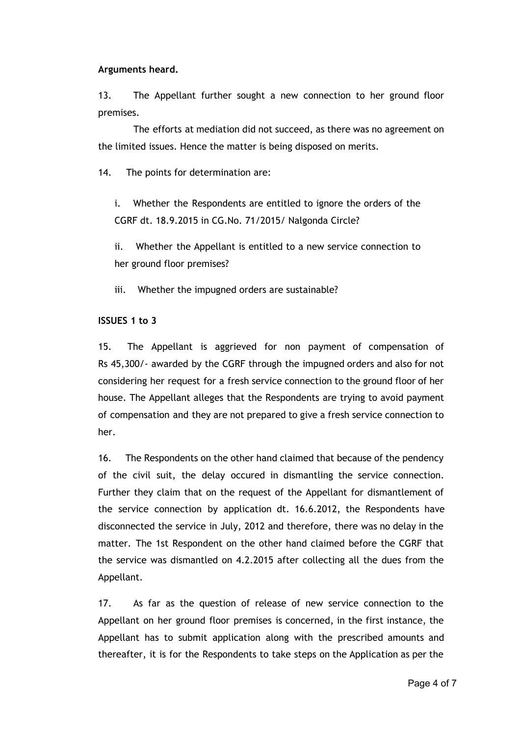## **Arguments heard.**

13. The Appellant further sought a new connection to her ground floor premises.

The efforts at mediation did not succeed, as there was no agreement on the limited issues. Hence the matter is being disposed on merits.

14. The points for determination are:

i. Whether the Respondents are entitled to ignore the orders of the CGRF dt. 18.9.2015 in CG.No. 71/2015/ Nalgonda Circle?

ii. Whether the Appellant is entitled to a new service connection to her ground floor premises?

iii. Whether the impugned orders are sustainable?

## **ISSUES 1 to 3**

15. The Appellant is aggrieved for non payment of compensation of Rs 45,300/- awarded by the CGRF through the impugned orders and also for not considering her request for a fresh service connection to the ground floor of her house. The Appellant alleges that the Respondents are trying to avoid payment of compensation and they are not prepared to give a fresh service connection to her.

16. The Respondents on the other hand claimed that because of the pendency of the civil suit, the delay occured in dismantling the service connection. Further they claim that on the request of the Appellant for dismantlement of the service connection by application dt. 16.6.2012, the Respondents have disconnected the service in July, 2012 and therefore, there was no delay in the matter. The 1st Respondent on the other hand claimed before the CGRF that the service was dismantled on 4.2.2015 after collecting all the dues from the Appellant.

17. As far as the question of release of new service connection to the Appellant on her ground floor premises is concerned, in the first instance, the Appellant has to submit application along with the prescribed amounts and thereafter, it is for the Respondents to take steps on the Application as per the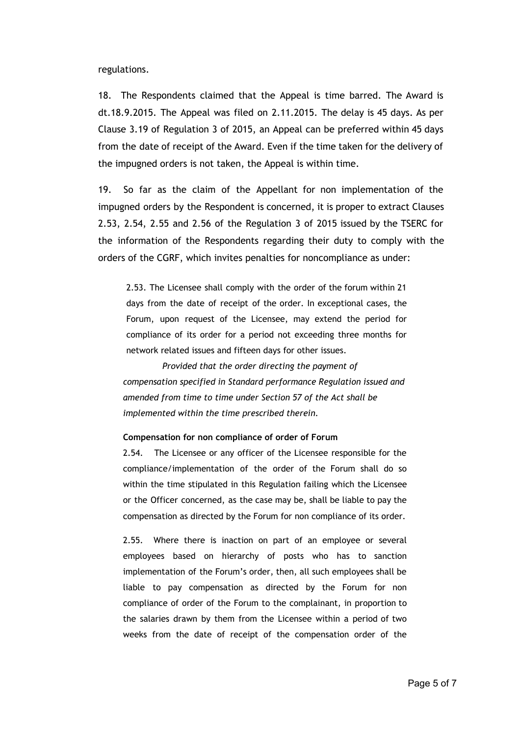regulations.

18. The Respondents claimed that the Appeal is time barred. The Award is dt.18.9.2015. The Appeal was filed on 2.11.2015. The delay is 45 days. As per Clause 3.19 of Regulation 3 of 2015, an Appeal can be preferred within 45 days from the date of receipt of the Award. Even if the time taken for the delivery of the impugned orders is not taken, the Appeal is within time.

19. So far as the claim of the Appellant for non implementation of the impugned orders by the Respondent is concerned, it is proper to extract Clauses 2.53, 2.54, 2.55 and 2.56 of the Regulation 3 of 2015 issued by the TSERC for the information of the Respondents regarding their duty to comply with the orders of the CGRF, which invites penalties for noncompliance as under:

2.53. The Licensee shall comply with the order of the forum within 21 days from the date of receipt of the order. In exceptional cases, the Forum, upon request of the Licensee, may extend the period for compliance of its order for a period not exceeding three months for network related issues and fifteen days for other issues.

*Provided that the order directing the payment of compensation specified in Standard performance Regulation issued and amended from time to time under Section 57 of the Act shall be implemented within the time prescribed therein.*

#### **Compensation for non compliance of order of Forum**

2.54. The Licensee or any officer of the Licensee responsible for the compliance/implementation of the order of the Forum shall do so within the time stipulated in this Regulation failing which the Licensee or the Officer concerned, as the case may be, shall be liable to pay the compensation as directed by the Forum for non compliance of its order.

2.55. Where there is inaction on part of an employee or several employees based on hierarchy of posts who has to sanction implementation of the Forum's order, then, all such employees shall be liable to pay compensation as directed by the Forum for non compliance of order of the Forum to the complainant, in proportion to the salaries drawn by them from the Licensee within a period of two weeks from the date of receipt of the compensation order of the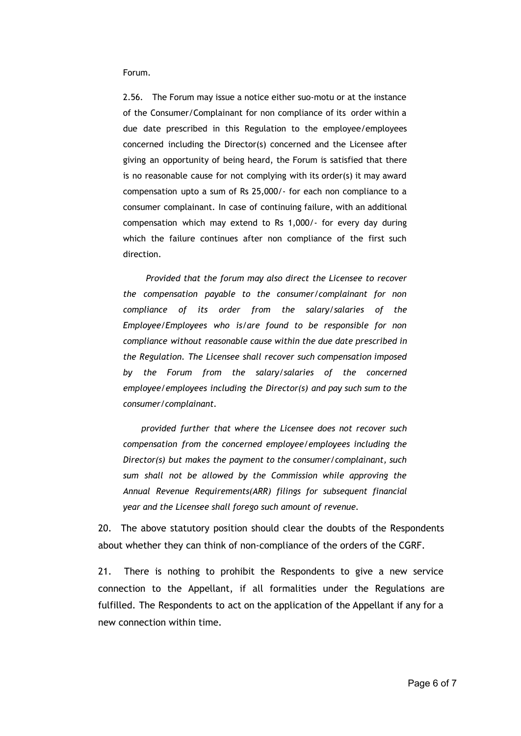Forum.

2.56. The Forum may issue a notice either suo-motu or at the instance of the Consumer/Complainant for non compliance of its order within a due date prescribed in this Regulation to the employee/employees concerned including the Director(s) concerned and the Licensee after giving an opportunity of being heard, the Forum is satisfied that there is no reasonable cause for not complying with its order(s) it may award compensation upto a sum of Rs 25,000/- for each non compliance to a consumer complainant. In case of continuing failure, with an additional compensation which may extend to Rs 1,000/- for every day during which the failure continues after non compliance of the first such direction.

*Provided that the forum may also direct the Licensee to recover the compensation payable to the consumer/complainant for non compliance of its order from the salary/salaries of the Employee/Employees who is/are found to be responsible for non compliance without reasonable cause within the due date prescribed in the Regulation. The Licensee shall recover such compensation imposed by the Forum from the salary/salaries of the concerned employee/employees including the Director(s) and pay such sum to the consumer/complainant.*

*provided further that where the Licensee does not recover such compensation from the concerned employee/employees including the Director(s) but makes the payment to the consumer/complainant, such sum shall not be allowed by the Commission while approving the Annual Revenue Requirements(ARR) filings for subsequent financial year and the Licensee shall forego such amount of revenue.*

20. The above statutory position should clear the doubts of the Respondents about whether they can think of non-compliance of the orders of the CGRF.

21. There is nothing to prohibit the Respondents to give a new service connection to the Appellant, if all formalities under the Regulations are fulfilled. The Respondents to act on the application of the Appellant if any for a new connection within time.